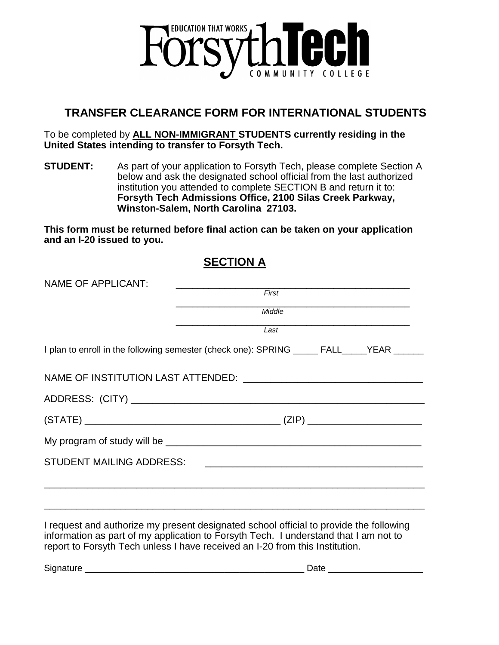

## **TRANSFER CLEARANCE FORM FOR INTERNATIONAL STUDENTS**

To be completed by **ALL NON-IMMIGRANT STUDENTS currently residing in the United States intending to transfer to Forsyth Tech.**

**STUDENT:** As part of your application to Forsyth Tech, please complete Section A below and ask the designated school official from the last authorized institution you attended to complete SECTION B and return it to: **Forsyth Tech Admissions Office, 2100 Silas Creek Parkway, Winston-Salem, North Carolina 27103.**

**This form must be returned before final action can be taken on your application and an I-20 issued to you.** 

**SECTION A**

| <b>NAME OF APPLICANT:</b> |                                                                                                                              |  |  |  |  |  |
|---------------------------|------------------------------------------------------------------------------------------------------------------------------|--|--|--|--|--|
|                           | First                                                                                                                        |  |  |  |  |  |
|                           | Middle                                                                                                                       |  |  |  |  |  |
|                           | <u> 2000 - Jan James James Jan James James James James James James James James James James James James James Jam</u><br>Last |  |  |  |  |  |
|                           | I plan to enroll in the following semester (check one): SPRING _____ FALL_____YEAR _____                                     |  |  |  |  |  |
|                           |                                                                                                                              |  |  |  |  |  |
|                           |                                                                                                                              |  |  |  |  |  |
|                           |                                                                                                                              |  |  |  |  |  |
|                           |                                                                                                                              |  |  |  |  |  |
|                           |                                                                                                                              |  |  |  |  |  |
|                           |                                                                                                                              |  |  |  |  |  |
|                           |                                                                                                                              |  |  |  |  |  |
|                           |                                                                                                                              |  |  |  |  |  |
|                           | I request and authorize my present designated school official to provide the following                                       |  |  |  |  |  |

I request and authorize my present designated school official to provide the following information as part of my application to Forsyth Tech. I understand that I am not to report to Forsyth Tech unless I have received an I-20 from this Institution.

Signature \_\_\_\_\_\_\_\_\_\_\_\_\_\_\_\_\_\_\_\_\_\_\_\_\_\_\_\_\_\_\_\_\_\_\_\_\_\_\_\_\_\_\_\_ Date \_\_\_\_\_\_\_\_\_\_\_\_\_\_\_\_\_\_\_